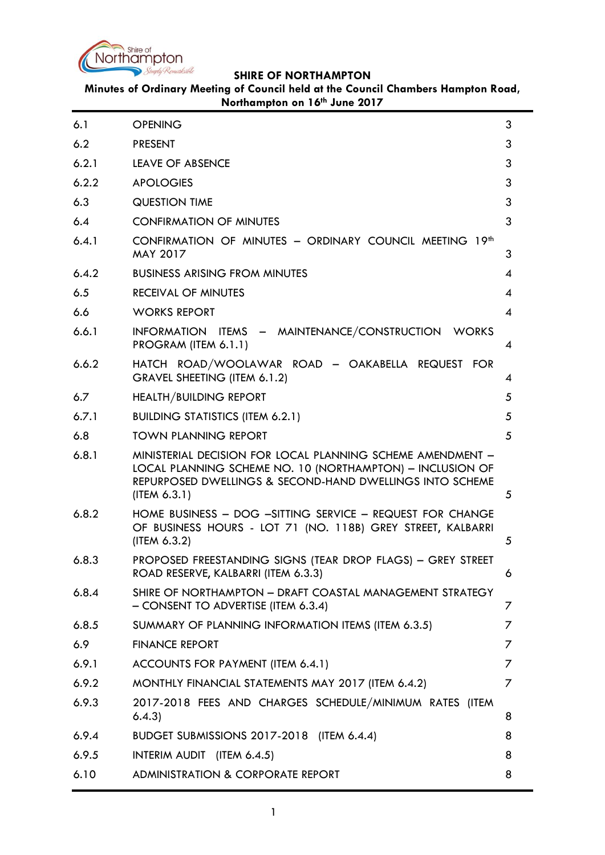

**Minutes of Ordinary Meeting of Council held at the Council Chambers Hampton Road, Northampton on 16th June 2017**

| 6.1   | <b>OPENING</b>                                                                                                                                                                                      | 3 |
|-------|-----------------------------------------------------------------------------------------------------------------------------------------------------------------------------------------------------|---|
| 6.2   | <b>PRESENT</b>                                                                                                                                                                                      | 3 |
| 6.2.1 | <b>LEAVE OF ABSENCE</b>                                                                                                                                                                             | 3 |
| 6.2.2 | <b>APOLOGIES</b>                                                                                                                                                                                    |   |
| 6.3   | <b>QUESTION TIME</b>                                                                                                                                                                                | 3 |
| 6.4   | <b>CONFIRMATION OF MINUTES</b>                                                                                                                                                                      | 3 |
| 6.4.1 | CONFIRMATION OF MINUTES - ORDINARY COUNCIL MEETING 19th<br><b>MAY 2017</b>                                                                                                                          |   |
| 6.4.2 | <b>BUSINESS ARISING FROM MINUTES</b>                                                                                                                                                                | 4 |
| 6.5   | <b>RECEIVAL OF MINUTES</b>                                                                                                                                                                          | 4 |
| 6.6   | <b>WORKS REPORT</b>                                                                                                                                                                                 | 4 |
| 6.6.1 | INFORMATION ITEMS - MAINTENANCE/CONSTRUCTION WORKS<br>PROGRAM (ITEM 6.1.1)                                                                                                                          | 4 |
| 6.6.2 | HATCH ROAD/WOOLAWAR ROAD - OAKABELLA REQUEST FOR<br>GRAVEL SHEETING (ITEM 6.1.2)                                                                                                                    | 4 |
| 6.7   | <b>HEALTH/BUILDING REPORT</b>                                                                                                                                                                       | 5 |
| 6.7.1 | <b>BUILDING STATISTICS (ITEM 6.2.1)</b>                                                                                                                                                             | 5 |
| 6.8   | <b>TOWN PLANNING REPORT</b>                                                                                                                                                                         | 5 |
| 6.8.1 | MINISTERIAL DECISION FOR LOCAL PLANNING SCHEME AMENDMENT -<br>LOCAL PLANNING SCHEME NO. 10 (NORTHAMPTON) - INCLUSION OF<br>REPURPOSED DWELLINGS & SECOND-HAND DWELLINGS INTO SCHEME<br>(IFEM 6.3.1) | 5 |
| 6.8.2 | HOME BUSINESS - DOG -SITTING SERVICE - REQUEST FOR CHANGE<br>OF BUSINESS HOURS - LOT 71 (NO. 118B) GREY STREET, KALBARRI<br>(ITEM 6.3.2)                                                            |   |
| 6.8.3 | PROPOSED FREESTANDING SIGNS (TEAR DROP FLAGS) - GREY STREET<br>ROAD RESERVE, KALBARRI (ITEM 6.3.3)                                                                                                  | 6 |
| 6.8.4 | SHIRE OF NORTHAMPTON - DRAFT COASTAL MANAGEMENT STRATEGY<br>- CONSENT TO ADVERTISE (ITEM 6.3.4)                                                                                                     |   |
| 6.8.5 | SUMMARY OF PLANNING INFORMATION ITEMS (ITEM 6.3.5)                                                                                                                                                  | 7 |
| 6.9   | <b>FINANCE REPORT</b>                                                                                                                                                                               | 7 |
| 6.9.1 | ACCOUNTS FOR PAYMENT (ITEM 6.4.1)                                                                                                                                                                   | 7 |
| 6.9.2 | MONTHLY FINANCIAL STATEMENTS MAY 2017 (ITEM 6.4.2)                                                                                                                                                  | 7 |
| 6.9.3 | 2017-2018 FEES AND CHARGES SCHEDULE/MINIMUM RATES (ITEM<br>6.4.3)                                                                                                                                   | 8 |
| 6.9.4 | BUDGET SUBMISSIONS 2017-2018 (ITEM 6.4.4)                                                                                                                                                           | 8 |
| 6.9.5 | INTERIM AUDIT (ITEM 6.4.5)                                                                                                                                                                          | 8 |
| 6.10  | <b>ADMINISTRATION &amp; CORPORATE REPORT</b>                                                                                                                                                        | 8 |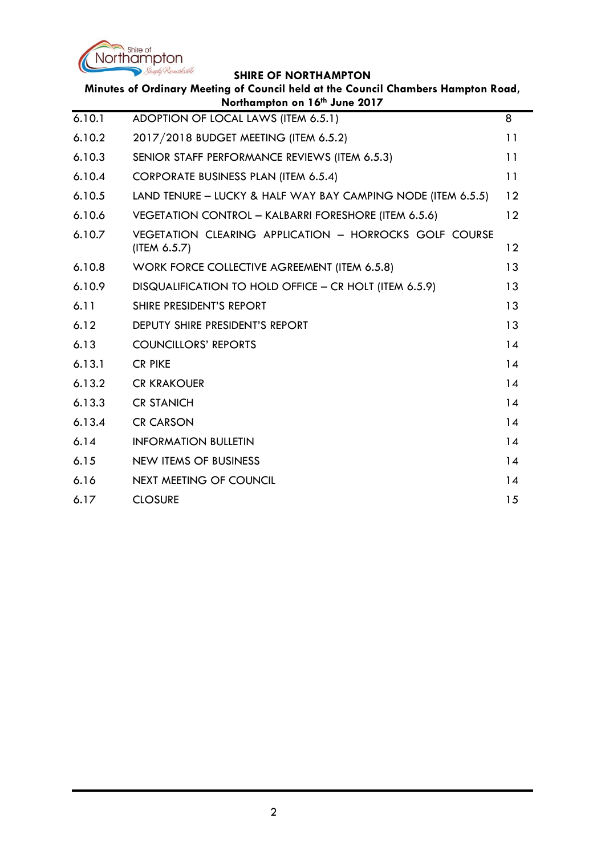

|        | Minutes of Ordinary Meeting of Council held at the Council Chambers Hampton Road,<br>Northampton on 16th June 2017 |    |
|--------|--------------------------------------------------------------------------------------------------------------------|----|
| 6.10.1 | ADOPTION OF LOCAL LAWS (ITEM 6.5.1)                                                                                | 8  |
| 6.10.2 | 2017/2018 BUDGET MEETING (ITEM 6.5.2)                                                                              | 11 |
| 6.10.3 | SENIOR STAFF PERFORMANCE REVIEWS (ITEM 6.5.3)                                                                      | 11 |
| 6.10.4 | <b>CORPORATE BUSINESS PLAN (ITEM 6.5.4)</b>                                                                        | 11 |
| 6.10.5 | LAND TENURE - LUCKY & HALF WAY BAY CAMPING NODE (ITEM 6.5.5)                                                       | 12 |
| 6.10.6 | VEGETATION CONTROL - KALBARRI FORESHORE (ITEM 6.5.6)                                                               | 12 |
| 6.10.7 | VEGETATION CLEARING APPLICATION - HORROCKS GOLF COURSE<br>(ITEM 6.5.7)                                             | 12 |
| 6.10.8 | WORK FORCE COLLECTIVE AGREEMENT (ITEM 6.5.8)                                                                       | 13 |
| 6.10.9 | DISQUALIFICATION TO HOLD OFFICE - CR HOLT (ITEM 6.5.9)                                                             | 13 |
| 6.11   | SHIRE PRESIDENT'S REPORT                                                                                           | 13 |
| 6.12   | <b>DEPUTY SHIRE PRESIDENT'S REPORT</b>                                                                             | 13 |
| 6.13   | <b>COUNCILLORS' REPORTS</b>                                                                                        | 14 |
| 6.13.1 | <b>CR PIKE</b>                                                                                                     | 14 |
| 6.13.2 | <b>CR KRAKOUER</b>                                                                                                 | 14 |
| 6.13.3 | <b>CR STANICH</b>                                                                                                  | 14 |
| 6.13.4 | <b>CR CARSON</b>                                                                                                   | 14 |
| 6.14   | <b>INFORMATION BULLETIN</b>                                                                                        | 14 |
| 6.15   | <b>NEW ITEMS OF BUSINESS</b>                                                                                       | 14 |
| 6.16   | <b>NEXT MEETING OF COUNCIL</b>                                                                                     | 14 |
| 6.17   | <b>CLOSURE</b>                                                                                                     | 15 |
|        |                                                                                                                    |    |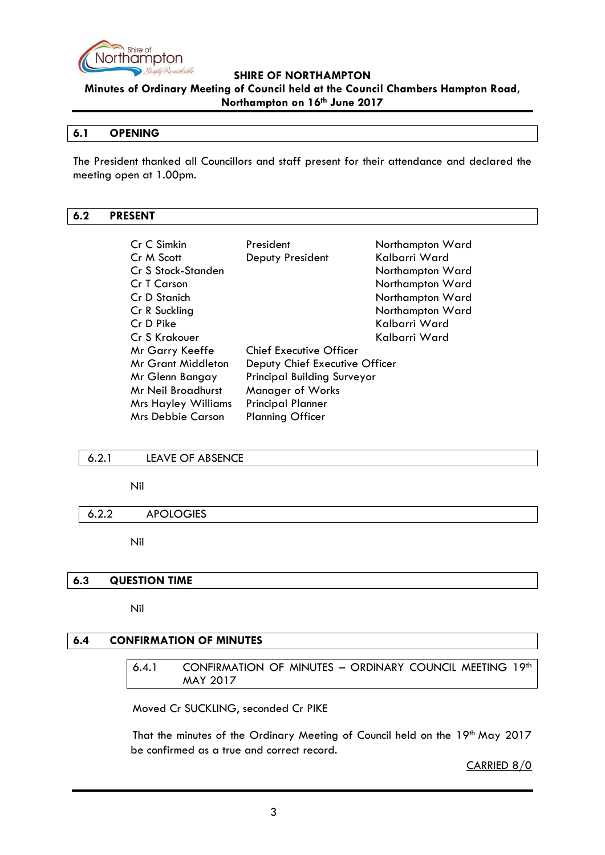

**Minutes of Ordinary Meeting of Council held at the Council Chambers Hampton Road, Northampton on 16th June 2017**

#### <span id="page-2-0"></span>**6.1 OPENING**

The President thanked all Councillors and staff present for their attendance and declared the meeting open at 1.00pm.

#### <span id="page-2-1"></span>**6.2 PRESENT**

| Cr C Simkin<br>Cr M Scott  | President<br>Deputy President      | Northampton Ward<br>Kalbarri Ward |
|----------------------------|------------------------------------|-----------------------------------|
| Cr S Stock-Standen         |                                    | Northampton Ward                  |
| Cr T Carson                |                                    | Northampton Ward                  |
| Cr D Stanich               |                                    | Northampton Ward                  |
| Cr R Suckling              |                                    | Northampton Ward                  |
| Cr D Pike                  |                                    | Kalbarri Ward                     |
| Cr S Krakouer              |                                    | Kalbarri Ward                     |
| Mr Garry Keeffe            | <b>Chief Executive Officer</b>     |                                   |
| <b>Mr Grant Middleton</b>  | Deputy Chief Executive Officer     |                                   |
| Mr Glenn Bangay            | <b>Principal Building Surveyor</b> |                                   |
| Mr Neil Broadhurst         | <b>Manager of Works</b>            |                                   |
| <b>Mrs Hayley Williams</b> | <b>Principal Planner</b>           |                                   |
| Mrs Debbie Carson          | <b>Planning Officer</b>            |                                   |

#### <span id="page-2-2"></span>6.2.1 LEAVE OF ABSENCE

Nil

#### <span id="page-2-3"></span>6.2.2 APOLOGIES

Nil

#### <span id="page-2-4"></span>**6.3 QUESTION TIME**

Nil

## <span id="page-2-6"></span><span id="page-2-5"></span>**6.4 CONFIRMATION OF MINUTES**

| 6.4.1 | CONFIRMATION OF MINUTES - ORDINARY COUNCIL MEETING 19th |  |  |  |
|-------|---------------------------------------------------------|--|--|--|
|       | <b>MAY 2017</b>                                         |  |  |  |

#### Moved Cr SUCKLING, seconded Cr PIKE

That the minutes of the Ordinary Meeting of Council held on the 19th May 2017 be confirmed as a true and correct record.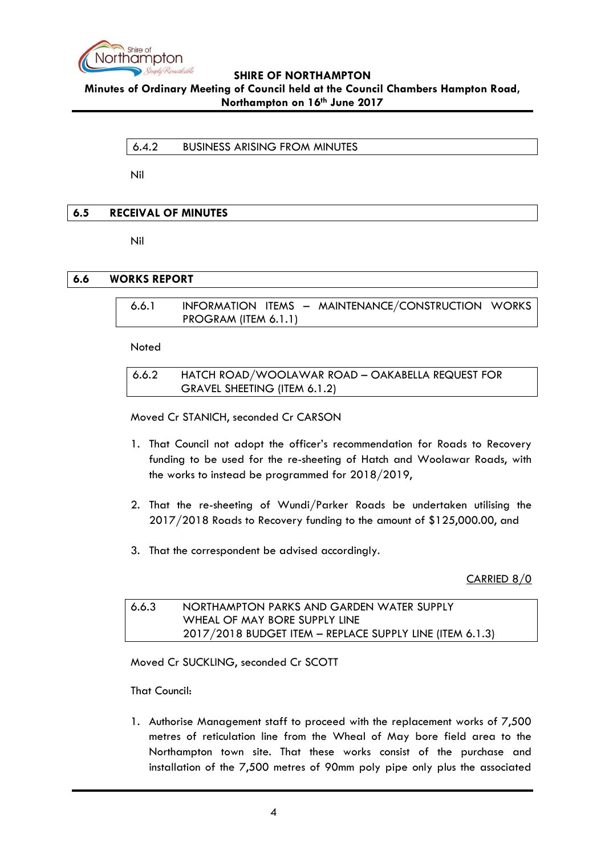

# <span id="page-3-0"></span>**Minutes of Ordinary Meeting of Council held at the Council Chambers Hampton Road, Northampton on 16th June 2017**

6.4.2 BUSINESS ARISING FROM MINUTES

Nil

# <span id="page-3-1"></span>**6.5 RECEIVAL OF MINUTES**

Nil

## <span id="page-3-3"></span><span id="page-3-2"></span>**6.6 WORKS REPORT**

6.6.1 INFORMATION ITEMS – MAINTENANCE/CONSTRUCTION WORKS PROGRAM (ITEM 6.1.1)

**Noted** 

<span id="page-3-4"></span>6.6.2 HATCH ROAD/WOOLAWAR ROAD – OAKABELLA REQUEST FOR GRAVEL SHEETING (ITEM 6.1.2)

Moved Cr STANICH, seconded Cr CARSON

- 1. That Council not adopt the officer's recommendation for Roads to Recovery funding to be used for the re-sheeting of Hatch and Woolawar Roads, with the works to instead be programmed for 2018/2019,
- 2. That the re-sheeting of Wundi/Parker Roads be undertaken utilising the 2017/2018 Roads to Recovery funding to the amount of \$125,000.00, and
- 3. That the correspondent be advised accordingly.

CARRIED 8/0

| 6.6.3 | NORTHAMPTON PARKS AND GARDEN WATER SUPPLY                |
|-------|----------------------------------------------------------|
|       | WHEAL OF MAY BORE SUPPLY LINE                            |
|       | 2017/2018 BUDGET ITEM - REPLACE SUPPLY LINE (ITEM 6.1.3) |

Moved Cr SUCKLING, seconded Cr SCOTT

That Council:

1. Authorise Management staff to proceed with the replacement works of 7,500 metres of reticulation line from the Wheal of May bore field area to the Northampton town site. That these works consist of the purchase and installation of the 7,500 metres of 90mm poly pipe only plus the associated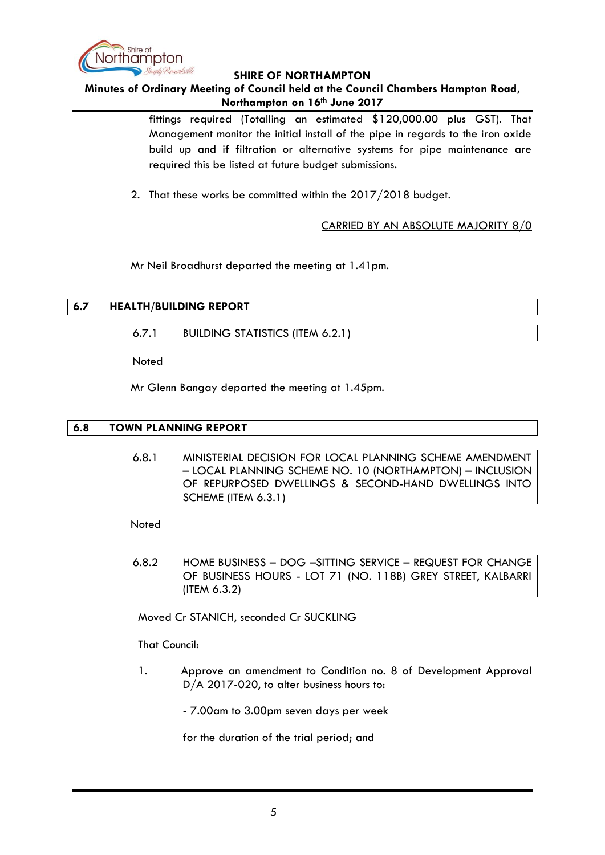

#### **Minutes of Ordinary Meeting of Council held at the Council Chambers Hampton Road, Northampton on 16th June 2017**

fittings required (Totalling an estimated \$120,000.00 plus GST). That Management monitor the initial install of the pipe in regards to the iron oxide build up and if filtration or alternative systems for pipe maintenance are required this be listed at future budget submissions.

2. That these works be committed within the 2017/2018 budget.

CARRIED BY AN ABSOLUTE MAJORITY 8/0

Mr Neil Broadhurst departed the meeting at 1.41pm.

# <span id="page-4-1"></span><span id="page-4-0"></span>**6.7 HEALTH/BUILDING REPORT**

6.7.1 BUILDING STATISTICS (ITEM 6.2.1)

**Noted** 

Mr Glenn Bangay departed the meeting at 1.45pm.

# <span id="page-4-3"></span><span id="page-4-2"></span>**6.8 TOWN PLANNING REPORT**

| 6.8.1 | MINISTERIAL DECISION FOR LOCAL PLANNING SCHEME AMENDMENT |
|-------|----------------------------------------------------------|
|       | - LOCAL PLANNING SCHEME NO. 10 (NORTHAMPTON) - INCLUSION |
|       | OF REPURPOSED DWELLINGS & SECOND-HAND DWELLINGS INTO     |
|       | SCHEME (ITEM 6.3.1)                                      |

Noted

<span id="page-4-4"></span>6.8.2 HOME BUSINESS – DOG –SITTING SERVICE – REQUEST FOR CHANGE OF BUSINESS HOURS - LOT 71 (NO. 118B) GREY STREET, KALBARRI (ITEM 6.3.2)

Moved Cr STANICH, seconded Cr SUCKLING

That Council:

1. Approve an amendment to Condition no. 8 of Development Approval D/A 2017-020, to alter business hours to:

- 7.00am to 3.00pm seven days per week

for the duration of the trial period; and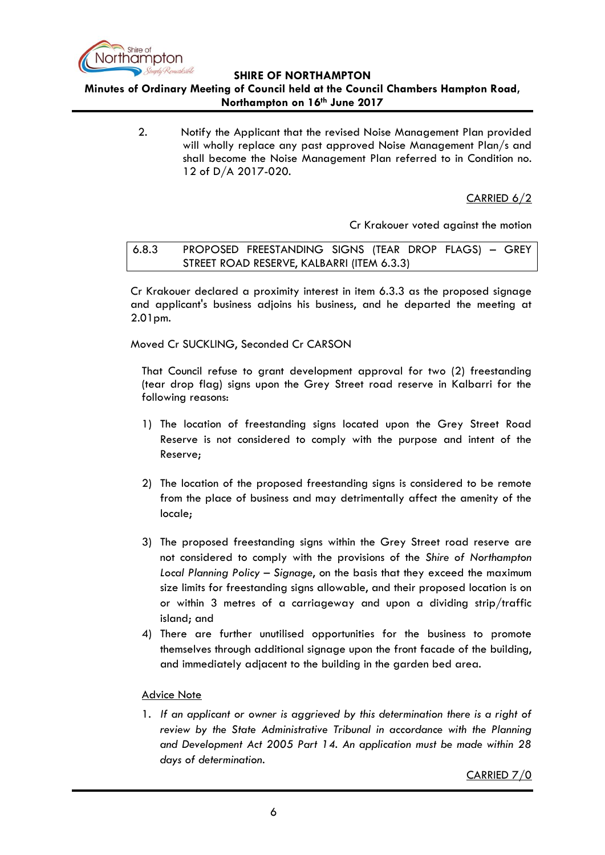

**Minutes of Ordinary Meeting of Council held at the Council Chambers Hampton Road, Northampton on 16th June 2017**

> 2. Notify the Applicant that the revised Noise Management Plan provided will wholly replace any past approved Noise Management Plan/s and shall become the Noise Management Plan referred to in Condition no. 12 of D/A 2017-020.

> > CARRIED 6/2

Cr Krakouer voted against the motion

<span id="page-5-0"></span>6.8.3 PROPOSED FREESTANDING SIGNS (TEAR DROP FLAGS) – GREY STREET ROAD RESERVE, KALBARRI (ITEM 6.3.3)

Cr Krakouer declared a proximity interest in item 6.3.3 as the proposed signage and applicant's business adjoins his business, and he departed the meeting at 2.01pm.

Moved Cr SUCKLING, Seconded Cr CARSON

That Council refuse to grant development approval for two (2) freestanding (tear drop flag) signs upon the Grey Street road reserve in Kalbarri for the following reasons:

- 1) The location of freestanding signs located upon the Grey Street Road Reserve is not considered to comply with the purpose and intent of the Reserve;
- 2) The location of the proposed freestanding signs is considered to be remote from the place of business and may detrimentally affect the amenity of the locale;
- 3) The proposed freestanding signs within the Grey Street road reserve are not considered to comply with the provisions of the *Shire of Northampton Local Planning Policy – Signage*, on the basis that they exceed the maximum size limits for freestanding signs allowable, and their proposed location is on or within 3 metres of a carriageway and upon a dividing strip/traffic island; and
- 4) There are further unutilised opportunities for the business to promote themselves through additional signage upon the front facade of the building, and immediately adjacent to the building in the garden bed area.

## Advice Note

1. *If an applicant or owner is aggrieved by this determination there is a right of review by the State Administrative Tribunal in accordance with the Planning and Development Act 2005 Part 14. An application must be made within 28 days of determination.*

CARRIED 7/0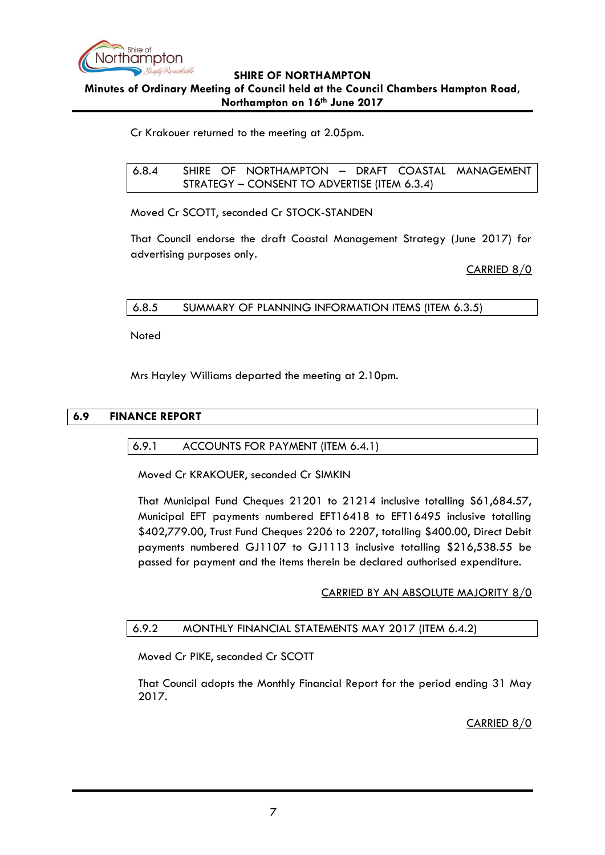

**Minutes of Ordinary Meeting of Council held at the Council Chambers Hampton Road, Northampton on 16th June 2017**

Cr Krakouer returned to the meeting at 2.05pm.

<span id="page-6-0"></span>6.8.4 SHIRE OF NORTHAMPTON – DRAFT COASTAL MANAGEMENT STRATEGY – CONSENT TO ADVERTISE (ITEM 6.3.4)

Moved Cr SCOTT, seconded Cr STOCK-STANDEN

That Council endorse the draft Coastal Management Strategy (June 2017) for advertising purposes only.

CARRIED 8/0

## <span id="page-6-1"></span>6.8.5 SUMMARY OF PLANNING INFORMATION ITEMS (ITEM 6.3.5)

Noted

Mrs Hayley Williams departed the meeting at 2.10pm.

## <span id="page-6-3"></span><span id="page-6-2"></span>**6.9 FINANCE REPORT**

#### 6.9.1 ACCOUNTS FOR PAYMENT (ITEM 6.4.1)

Moved Cr KRAKOUER, seconded Cr SIMKIN

That Municipal Fund Cheques 21201 to 21214 inclusive totalling \$61,684.57, Municipal EFT payments numbered EFT16418 to EFT16495 inclusive totalling \$402,779.00, Trust Fund Cheques 2206 to 2207, totalling \$400.00, Direct Debit payments numbered GJ1107 to GJ1113 inclusive totalling \$216,538.55 be passed for payment and the items therein be declared authorised expenditure.

## CARRIED BY AN ABSOLUTE MAJORITY 8/0

## <span id="page-6-4"></span>6.9.2 MONTHLY FINANCIAL STATEMENTS MAY 2017 (ITEM 6.4.2)

Moved Cr PIKE, seconded Cr SCOTT

That Council adopts the Monthly Financial Report for the period ending 31 May 2017.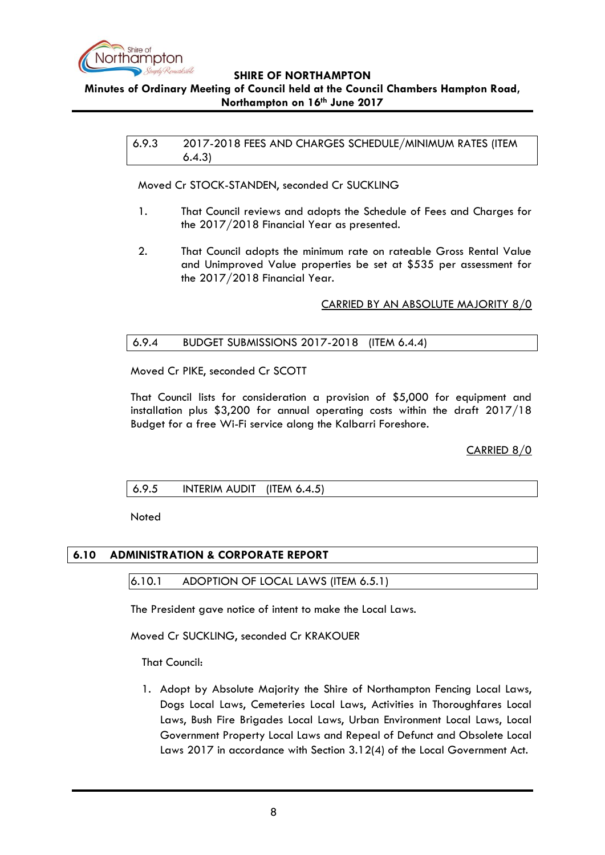

## <span id="page-7-0"></span>**Minutes of Ordinary Meeting of Council held at the Council Chambers Hampton Road, Northampton on 16th June 2017**

6.9.3 2017-2018 FEES AND CHARGES SCHEDULE/MINIMUM RATES (ITEM 6.4.3)

Moved Cr STOCK-STANDEN, seconded Cr SUCKLING

- 1. That Council reviews and adopts the Schedule of Fees and Charges for the 2017/2018 Financial Year as presented.
- 2. That Council adopts the minimum rate on rateable Gross Rental Value and Unimproved Value properties be set at \$535 per assessment for the 2017/2018 Financial Year.

CARRIED BY AN ABSOLUTE MAJORITY 8/0

#### <span id="page-7-1"></span>6.9.4 BUDGET SUBMISSIONS 2017-2018 (ITEM 6.4.4)

Moved Cr PIKE, seconded Cr SCOTT

That Council lists for consideration a provision of \$5,000 for equipment and installation plus \$3,200 for annual operating costs within the draft 2017/18 Budget for a free Wi-Fi service along the Kalbarri Foreshore.

CARRIED 8/0

## <span id="page-7-2"></span>6.9.5 INTERIM AUDIT (ITEM 6.4.5)

Noted

## <span id="page-7-4"></span><span id="page-7-3"></span>**6.10 ADMINISTRATION & CORPORATE REPORT**

#### 6.10.1 ADOPTION OF LOCAL LAWS (ITEM 6.5.1)

The President gave notice of intent to make the Local Laws.

Moved Cr SUCKLING, seconded Cr KRAKOUER

That Council:

1. Adopt by Absolute Majority the Shire of Northampton Fencing Local Laws, Dogs Local Laws, Cemeteries Local Laws, Activities in Thoroughfares Local Laws, Bush Fire Brigades Local Laws, Urban Environment Local Laws, Local Government Property Local Laws and Repeal of Defunct and Obsolete Local Laws 2017 in accordance with Section 3.12(4) of the Local Government Act.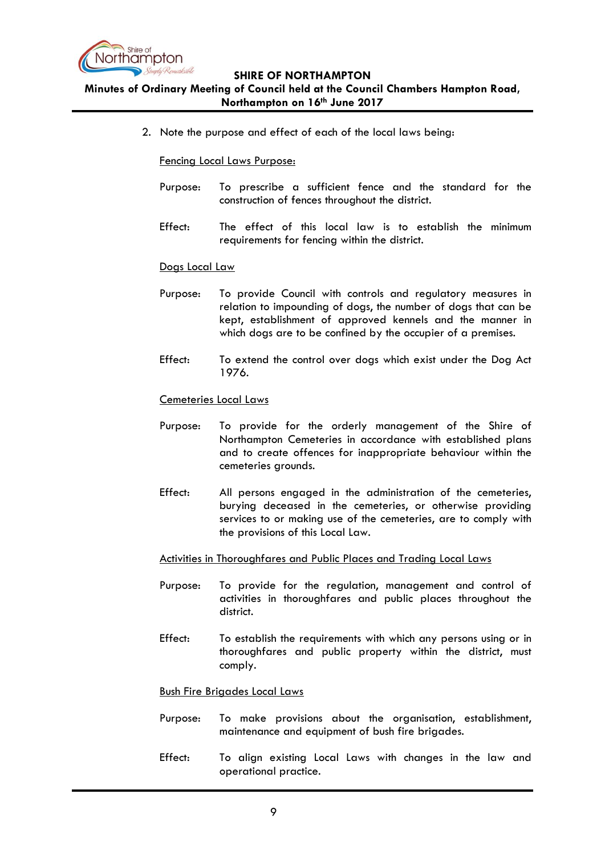

# **Minutes of Ordinary Meeting of Council held at the Council Chambers Hampton Road, Northampton on 16th June 2017**

2. Note the purpose and effect of each of the local laws being:

#### Fencing Local Laws Purpose:

- Purpose: To prescribe a sufficient fence and the standard for the construction of fences throughout the district.
- Effect: The effect of this local law is to establish the minimum requirements for fencing within the district.

#### Dogs Local Law

- Purpose: To provide Council with controls and regulatory measures in relation to impounding of dogs, the number of dogs that can be kept, establishment of approved kennels and the manner in which dogs are to be confined by the occupier of a premises.
- Effect: To extend the control over dogs which exist under the Dog Act 1976.

#### Cemeteries Local Laws

- Purpose: To provide for the orderly management of the Shire of Northampton Cemeteries in accordance with established plans and to create offences for inappropriate behaviour within the cemeteries grounds.
- Effect: All persons engaged in the administration of the cemeteries, burying deceased in the cemeteries, or otherwise providing services to or making use of the cemeteries, are to comply with the provisions of this Local Law.

#### Activities in Thoroughfares and Public Places and Trading Local Laws

- Purpose: To provide for the regulation, management and control of activities in thoroughfares and public places throughout the district.
- Effect: To establish the requirements with which any persons using or in thoroughfares and public property within the district, must comply.

#### Bush Fire Brigades Local Laws

- Purpose: To make provisions about the organisation, establishment, maintenance and equipment of bush fire brigades.
- Effect: To align existing Local Laws with changes in the law and operational practice.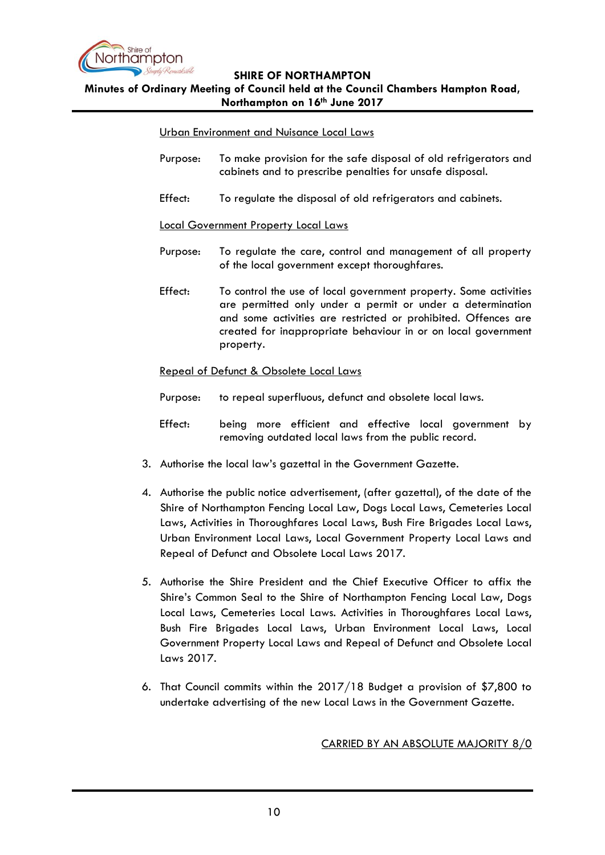

#### **Minutes of Ordinary Meeting of Council held at the Council Chambers Hampton Road, Northampton on 16th June 2017**

#### Urban Environment and Nuisance Local Laws

- Purpose: To make provision for the safe disposal of old refrigerators and cabinets and to prescribe penalties for unsafe disposal.
- Effect: To regulate the disposal of old refrigerators and cabinets.

#### Local Government Property Local Laws

- Purpose: To regulate the care, control and management of all property of the local government except thoroughfares.
- Effect: To control the use of local government property. Some activities are permitted only under a permit or under a determination and some activities are restricted or prohibited. Offences are created for inappropriate behaviour in or on local government property.

#### Repeal of Defunct & Obsolete Local Laws

- Purpose: to repeal superfluous, defunct and obsolete local laws.
- Effect: being more efficient and effective local government by removing outdated local laws from the public record.
- 3. Authorise the local law's gazettal in the Government Gazette.
- 4. Authorise the public notice advertisement, (after gazettal), of the date of the Shire of Northampton Fencing Local Law, Dogs Local Laws, Cemeteries Local Laws, Activities in Thoroughfares Local Laws, Bush Fire Brigades Local Laws, Urban Environment Local Laws, Local Government Property Local Laws and Repeal of Defunct and Obsolete Local Laws 2017.
- 5. Authorise the Shire President and the Chief Executive Officer to affix the Shire's Common Seal to the Shire of Northampton Fencing Local Law, Dogs Local Laws, Cemeteries Local Laws. Activities in Thoroughfares Local Laws, Bush Fire Brigades Local Laws, Urban Environment Local Laws, Local Government Property Local Laws and Repeal of Defunct and Obsolete Local Laws 2017.
- 6. That Council commits within the 2017/18 Budget a provision of \$7,800 to undertake advertising of the new Local Laws in the Government Gazette.

#### CARRIED BY AN ABSOLUTE MAJORITY 8/0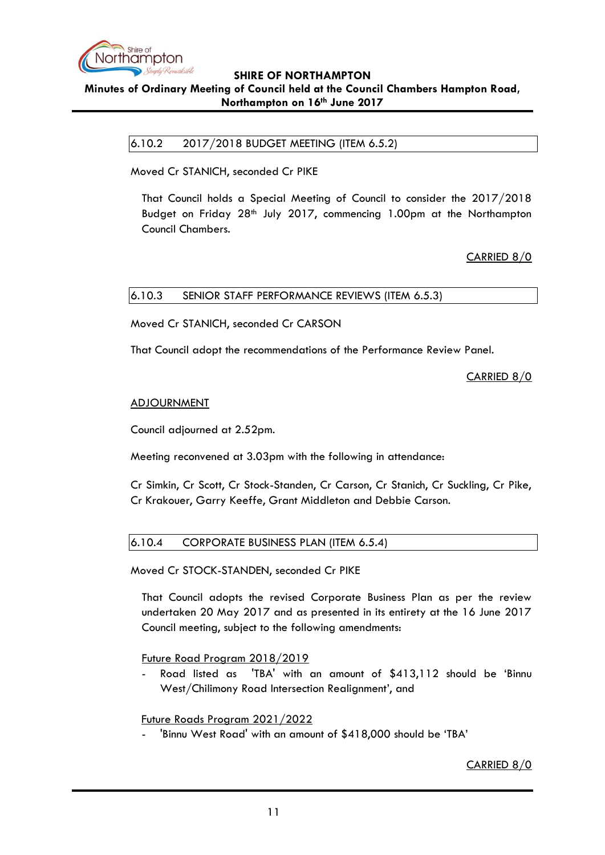

<span id="page-10-0"></span>**Minutes of Ordinary Meeting of Council held at the Council Chambers Hampton Road, Northampton on 16th June 2017**

6.10.2 2017/2018 BUDGET MEETING (ITEM 6.5.2)

Moved Cr STANICH, seconded Cr PIKE

That Council holds a Special Meeting of Council to consider the 2017/2018 Budget on Friday 28<sup>th</sup> July 2017, commencing 1.00pm at the Northampton Council Chambers.

CARRIED 8/0

## <span id="page-10-1"></span>6.10.3 SENIOR STAFF PERFORMANCE REVIEWS (ITEM 6.5.3)

Moved Cr STANICH, seconded Cr CARSON

That Council adopt the recommendations of the Performance Review Panel.

CARRIED 8/0

#### ADJOURNMENT

Council adjourned at 2.52pm.

Meeting reconvened at 3.03pm with the following in attendance:

Cr Simkin, Cr Scott, Cr Stock-Standen, Cr Carson, Cr Stanich, Cr Suckling, Cr Pike, Cr Krakouer, Garry Keeffe, Grant Middleton and Debbie Carson.

## <span id="page-10-2"></span>6.10.4 CORPORATE BUSINESS PLAN (ITEM 6.5.4)

Moved Cr STOCK-STANDEN, seconded Cr PIKE

That Council adopts the revised Corporate Business Plan as per the review undertaken 20 May 2017 and as presented in its entirety at the 16 June 2017 Council meeting, subject to the following amendments:

Future Road Program 2018/2019

Road listed as 'TBA' with an amount of \$413,112 should be 'Binnu West/Chilimony Road Intersection Realignment', and

#### Future Roads Program 2021/2022

'Binnu West Road' with an amount of \$418,000 should be 'TBA'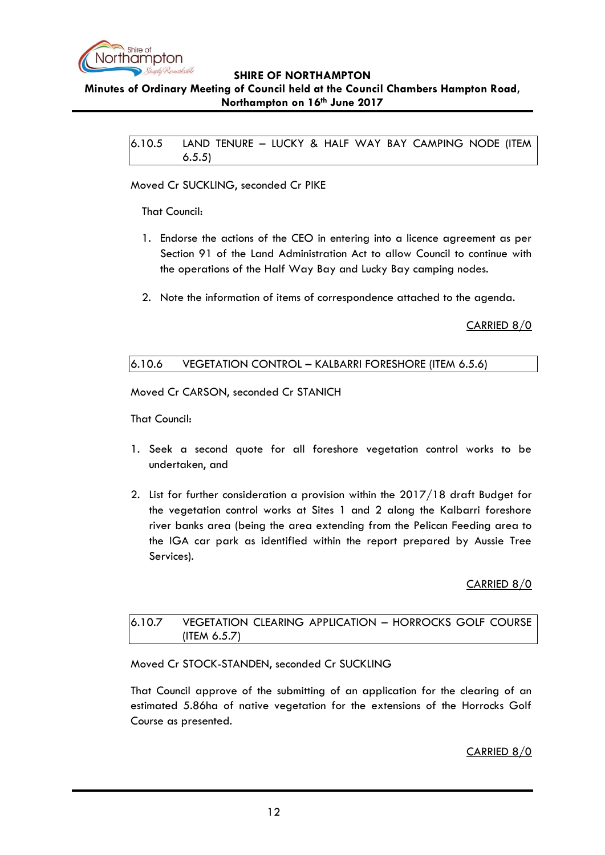

# <span id="page-11-0"></span>**Minutes of Ordinary Meeting of Council held at the Council Chambers Hampton Road, Northampton on 16th June 2017**

6.10.5 LAND TENURE – LUCKY & HALF WAY BAY CAMPING NODE (ITEM 6.5.5)

#### Moved Cr SUCKLING, seconded Cr PIKE

That Council:

- 1. Endorse the actions of the CEO in entering into a licence agreement as per Section 91 of the Land Administration Act to allow Council to continue with the operations of the Half Way Bay and Lucky Bay camping nodes.
- 2. Note the information of items of correspondence attached to the agenda.

CARRIED 8/0

## <span id="page-11-1"></span>6.10.6 VEGETATION CONTROL – KALBARRI FORESHORE (ITEM 6.5.6)

Moved Cr CARSON, seconded Cr STANICH

That Council:

- 1. Seek a second quote for all foreshore vegetation control works to be undertaken, and
- 2. List for further consideration a provision within the 2017/18 draft Budget for the vegetation control works at Sites 1 and 2 along the Kalbarri foreshore river banks area (being the area extending from the Pelican Feeding area to the IGA car park as identified within the report prepared by Aussie Tree Services).

## CARRIED 8/0

## <span id="page-11-2"></span>6.10.7 VEGETATION CLEARING APPLICATION – HORROCKS GOLF COURSE (ITEM 6.5.7)

Moved Cr STOCK-STANDEN, seconded Cr SUCKLING

That Council approve of the submitting of an application for the clearing of an estimated 5.86ha of native vegetation for the extensions of the Horrocks Golf Course as presented.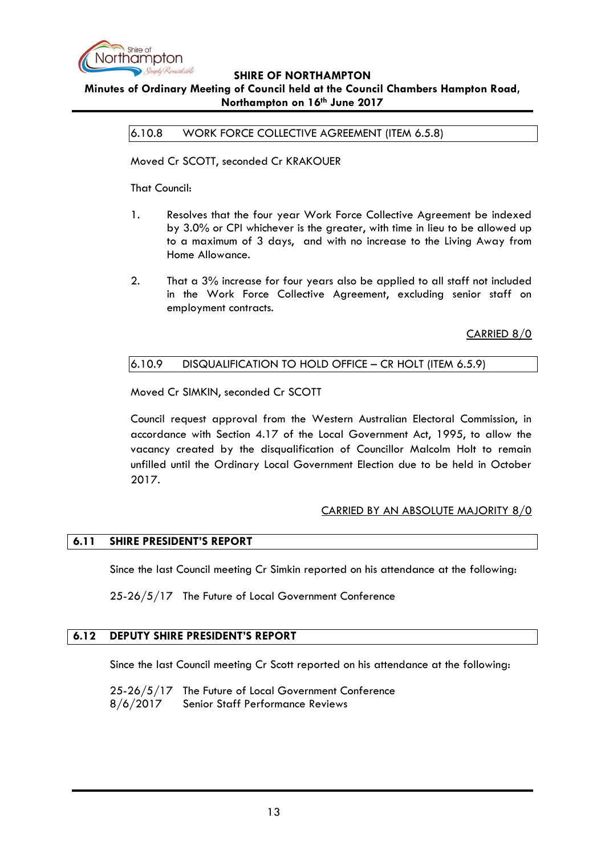

# <span id="page-12-0"></span>**Minutes of Ordinary Meeting of Council held at the Council Chambers Hampton Road, Northampton on 16th June 2017**

6.10.8 WORK FORCE COLLECTIVE AGREEMENT (ITEM 6.5.8)

Moved Cr SCOTT, seconded Cr KRAKOUER

That Council:

- 1. Resolves that the four year Work Force Collective Agreement be indexed by 3.0% or CPI whichever is the greater, with time in lieu to be allowed up to a maximum of 3 days, and with no increase to the Living Away from Home Allowance.
- 2. That a 3% increase for four years also be applied to all staff not included in the Work Force Collective Agreement, excluding senior staff on employment contracts.

CARRIED 8/0

## <span id="page-12-1"></span>6.10.9 DISQUALIFICATION TO HOLD OFFICE – CR HOLT (ITEM 6.5.9)

Moved Cr SIMKIN, seconded Cr SCOTT

Council request approval from the Western Australian Electoral Commission, in accordance with Section 4.17 of the Local Government Act, 1995, to allow the vacancy created by the disqualification of Councillor Malcolm Holt to remain unfilled until the Ordinary Local Government Election due to be held in October 2017.

## CARRIED BY AN ABSOLUTE MAJORITY 8/0

# <span id="page-12-2"></span>**6.11 SHIRE PRESIDENT'S REPORT**

Since the last Council meeting Cr Simkin reported on his attendance at the following:

25-26/5/17 The Future of Local Government Conference

#### <span id="page-12-3"></span>**6.12 DEPUTY SHIRE PRESIDENT'S REPORT**

Since the last Council meeting Cr Scott reported on his attendance at the following:

25-26/5/17 The Future of Local Government Conference 8/6/2017 Senior Staff Performance Reviews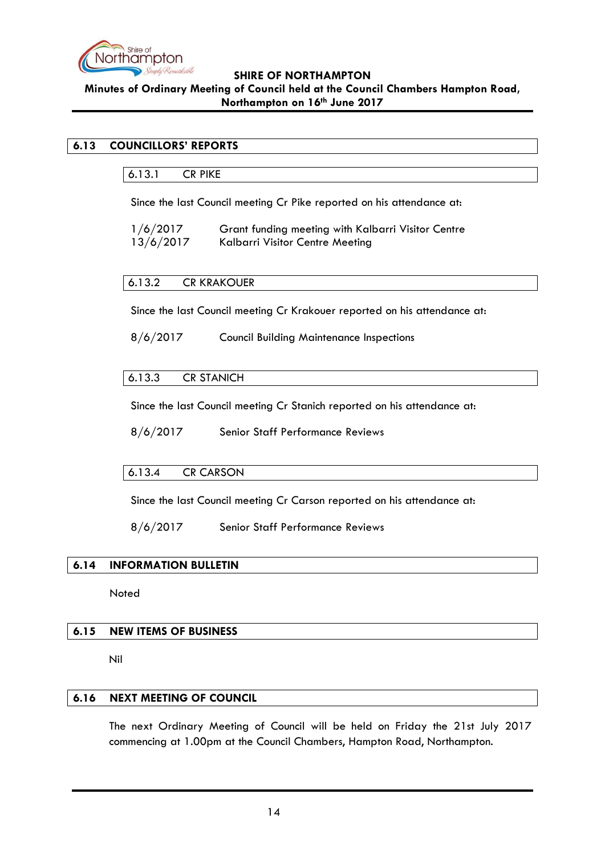

# **SHIRE OF NORTHAMPTON Minutes of Ordinary Meeting of Council held at the Council Chambers Hampton Road, Northampton on 16th June 2017**

# <span id="page-13-1"></span><span id="page-13-0"></span>**6.13 COUNCILLORS' REPORTS**

6.13.1 CR PIKE

Since the last Council meeting Cr Pike reported on his attendance at:

| 1/6/2017  | Grant funding meeting with Kalbarri Visitor Centre |
|-----------|----------------------------------------------------|
| 13/6/2017 | Kalbarri Visitor Centre Meeting                    |

#### <span id="page-13-2"></span>6.13.2 CR KRAKOUER

Since the last Council meeting Cr Krakouer reported on his attendance at:

8/6/2017 Council Building Maintenance Inspections

## <span id="page-13-3"></span>6.13.3 CR STANICH

Since the last Council meeting Cr Stanich reported on his attendance at:

8/6/2017 Senior Staff Performance Reviews

## <span id="page-13-4"></span>6.13.4 CR CARSON

Since the last Council meeting Cr Carson reported on his attendance at:

8/6/2017 Senior Staff Performance Reviews

#### <span id="page-13-5"></span>**6.14 INFORMATION BULLETIN**

Noted

#### <span id="page-13-6"></span>**6.15 NEW ITEMS OF BUSINESS**

Nil

#### <span id="page-13-7"></span>**6.16 NEXT MEETING OF COUNCIL**

The next Ordinary Meeting of Council will be held on Friday the 21st July 2017 commencing at 1.00pm at the Council Chambers, Hampton Road, Northampton.